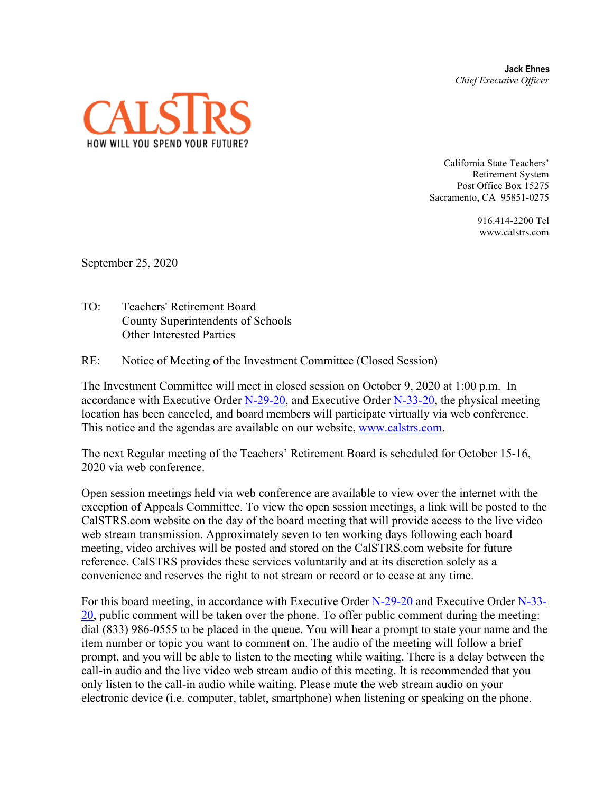**Jack Ehnes** *Chief Executive Officer*



California State Teachers' Retirement System Post Office Box 15275 Sacramento, CA 95851-0275

> 916.414-2200 Tel www.calstrs.com

September 25, 2020

TO: Teachers' Retirement Board County Superintendents of Schools Other Interested Parties

RE: Notice of Meeting of the Investment Committee (Closed Session)

The Investment Committee will meet in closed session on October 9, 2020 at 1:00 p.m. In accordance with Executive Order [N-29-20,](https://www.gov.ca.gov/wp-content/uploads/2020/03/3.17.20-N-29-20-EO.pdf) and Executive Order [N-33-20,](https://covid19.ca.gov/img/Executive-Order-N-33-20.pdf) the physical meeting location has been canceled, and board members will participate virtually via web conference. This notice and the agendas are available on our website, [www.calstrs.com.](http://www.calstrs.com/)

The next Regular meeting of the Teachers' Retirement Board is scheduled for October 15-16, 2020 via web conference.

Open session meetings held via web conference are available to view over the internet with the exception of Appeals Committee. To view the open session meetings, a link will be posted to the CalSTRS.com website on the day of the board meeting that will provide access to the live video web stream transmission. Approximately seven to ten working days following each board meeting, video archives will be posted and stored on the CalSTRS.com website for future reference. CalSTRS provides these services voluntarily and at its discretion solely as a convenience and reserves the right to not stream or record or to cease at any time.

For this board meeting, in accordance with Executive Order [N-29-20](https://www.gov.ca.gov/wp-content/uploads/2020/03/3.17.20-N-29-20-EO.pdf) and Executive Order [N-33-](https://covid19.ca.gov/img/Executive-Order-N-33-20.pdf)  $20$ , public comment will be taken over the phone. To offer public comment during the meeting: dial (833) 986-0555 to be placed in the queue. You will hear a prompt to state your name and the item number or topic you want to comment on. The audio of the meeting will follow a brief prompt, and you will be able to listen to the meeting while waiting. There is a delay between the call-in audio and the live video web stream audio of this meeting. It is recommended that you only listen to the call-in audio while waiting. Please mute the web stream audio on your electronic device (i.e. computer, tablet, smartphone) when listening or speaking on the phone.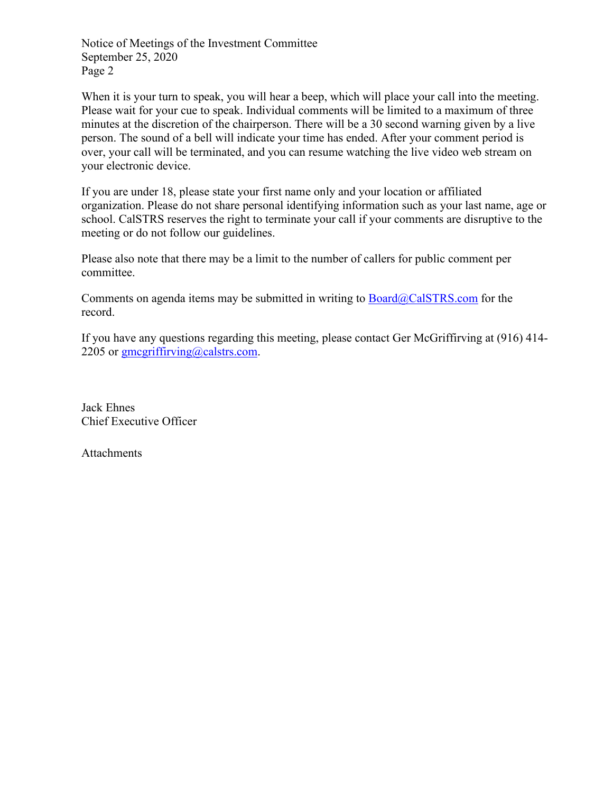Notice of Meetings of the Investment Committee September 25, 2020 Page 2

When it is your turn to speak, you will hear a beep, which will place your call into the meeting. Please wait for your cue to speak. Individual comments will be limited to a maximum of three minutes at the discretion of the chairperson. There will be a 30 second warning given by a live person. The sound of a bell will indicate your time has ended. After your comment period is over, your call will be terminated, and you can resume watching the live video web stream on your electronic device.

If you are under 18, please state your first name only and your location or affiliated organization. Please do not share personal identifying information such as your last name, age or school. CalSTRS reserves the right to terminate your call if your comments are disruptive to the meeting or do not follow our guidelines.

Please also note that there may be a limit to the number of callers for public comment per committee.

Comments on agenda items may be submitted in writing to  $Board@CalSTRS.com$  for the record.

If you have any questions regarding this meeting, please contact Ger McGriffirving at (916) 414- 2205 or  $\frac{\text{gmegriffirving}(a)$ calstrs.com.

Jack Ehnes Chief Executive Officer

**Attachments**